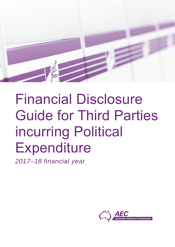

# Financial Disclosure Guide for Third Parties incurring Political **Expenditure**

*2017–18 financial year*

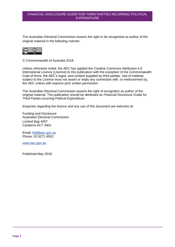The Australian Electoral Commission asserts the right to be recognised as author of the original material in the following manner:



© Commonwealth of Australia 2018.

Unless otherwise noted, the AEC has applied the Creative Commons Attribution 4.0 International Licence (Licence) to this publication with the exception of the Commonwealth Coat of Arms, the AEC's logos, and content supplied by third parties. Use of material subject to the Licence must not assert or imply any connection with, or endorsement by, the AEC unless with express prior written permission.

The Australian Electoral Commission asserts the right of recognition as author of the original material. The publication should be attributed as Financial Disclosure Guide for Third Parties incurring Political Expenditure.

Enquiries regarding the licence and any use of this document are welcome at:

Funding and Disclosure Australian Electoral Commission Locked Bag 4007 Canberra ACT 2601

Email: [fad@aec.gov.au](mailto:fad@aec.gov.au) Phone: 02 6271 4552

[www.aec.gov.au](http://www.aec.gov.au/)

Published May 2018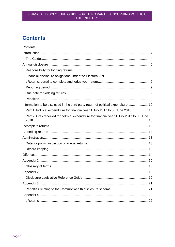# <span id="page-2-0"></span>**Contents**

| Information to be disclosed in the third party return of political expenditure 10          |
|--------------------------------------------------------------------------------------------|
| Part 1: Political expenditure for financial year 1 July 2017 to 30 June 2018 10            |
| Part 2: Gifts received for political expenditure for financial year 1 July 2017 to 30 June |
|                                                                                            |
|                                                                                            |
|                                                                                            |
|                                                                                            |
|                                                                                            |
|                                                                                            |
|                                                                                            |
|                                                                                            |
|                                                                                            |
|                                                                                            |
|                                                                                            |
|                                                                                            |
|                                                                                            |
|                                                                                            |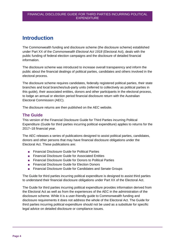# <span id="page-3-0"></span>**Introduction**

The Commonwealth funding and disclosure scheme (the disclosure scheme) established under Part XX of the *Commonwealth Electoral Act 1918* (Electoral Act), deals with the public funding of federal election campaigns and the disclosure of detailed financial information.

The disclosure scheme was introduced to increase overall transparency and inform the public about the financial dealings of political parties, candidates and others involved in the electoral process.

The disclosure scheme requires candidates, federally registered political parties, their state branches and local branches/sub-party units (referred to collectively as political parties in this guide), their associated entities, donors and other participants in the electoral process, to lodge an annual or election period financial disclosure return with the Australian Electoral Commission (AEC).

The disclosure returns are then published on the AEC website.

## <span id="page-3-1"></span>**The Guide**

This version of the Financial Disclosure Guide for Third Parties incurring Political Expenditure (Guide for third parties incurring political expenditure) applies to returns for the 2017–18 financial year.

The AEC releases a series of publications designed to assist political parties, candidates, donors and other persons that may have financial disclosure obligations under the Electoral Act. These publications are:

- Financial Disclosure Guide for Political Parties
- Financial Disclosure Guide for Associated Entities
- Financial Disclosure Guide for Donors to Political Parties
- Financial Disclosure Guide for Election Donors
- Financial Disclosure Guide for Candidates and Senate Groups

The Guide for third parties incurring political expenditure is designed to assist third parties to understand their financial disclosure obligations under Part XX of the Electoral Act.

The Guide for third parties incurring political expenditure provides information derived from the Electoral Act as well as from the experiences of the AEC in the administration of the disclosure scheme. While it is a user-friendly guide to Commonwealth funding and disclosure requirements it does not address the whole of the Electoral Act. The Guide for third parties incurring political expenditure should not be used as a substitute for specific legal advice on detailed disclosure or compliance issues.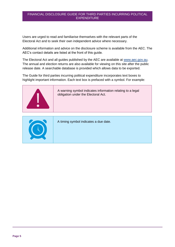Users are urged to read and familiarise themselves with the relevant parts of the Electoral Act and to seek their own independent advice where necessary.

Additional information and advice on the disclosure scheme is available from the AEC. The AEC's contact details are listed at the front of this guide.

The Electoral Act and all guides published by the AEC are available at [www.aec.gov.au.](file://///prod.aec.gov.au/file/NATIONAL_OFFICE/Legal%20&%20Compliance/Funding%20&%20Disclosure/Publications/Website/2012–13/www.aec.gov.au) The annual and election returns are also available for viewing on this site after the public release date. A searchable database is provided which allows data to be exported.

The Guide for third parties incurring political expenditure incorporates text boxes to highlight important information. Each text box is prefaced with a symbol. For example:



A warning symbol indicates information relating to a legal obligation under the Electoral Act.



A timing symbol indicates a due date.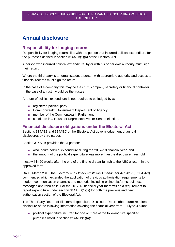# <span id="page-5-0"></span>**Annual disclosure**

## <span id="page-5-1"></span>**Responsibility for lodging returns**

Responsibility for lodging returns lies with the person that incurred political expenditure for the purposes defined in section 314AEB(1)(a) of the Electoral Act.

A person who incurred political expenditure, by or with his or her own authority must sign their return.

Where the third party is an organisation, a person with appropriate authority and access to financial records must sign the return.

In the case of a company this may be the CEO, company secretary or financial controller. In the case of a trust it would be the trustee.

A return of political expenditure is not required to be lodged by a:

- registered political party
- Commonwealth Government Department or Agency
- member of the Commonwealth Parliament
- candidate in a House of Representatives or Senate election.

## <span id="page-5-2"></span>**Financial disclosure obligations under the Electoral Act**

Sections 314AEB and 314AEC of the Electoral Act govern lodgement of annual disclosures by third parties.

Section 314AEB provides that a person:

- who incurs political expenditure during the 2017–18 financial year; and
- the amount of the political expenditure was more than the disclosure threshold

must within 20 weeks after the end of the financial year furnish to the AEC a return in the approved form.

On 15 March 2018, the *Electoral and Other Legislation Amendment Act* 2017 (EOLA Act) commenced which extended the application of previous authorisation requirements to modern communication channels and methods, including online platforms, bulk text messages and robo-calls. For the 2017-18 financial year there will be a requirement to report expenditure under section 314AEB(1)(iii) for both the previous and new authorisation section of the Electoral Act.

The Third Party Return of Electoral Expenditure Disclosure Return (the return) requires disclosure of the following information covering the financial year from 1 July to 30 June:

■ political expenditure incurred for one or more of the following five specified purposes listed in section 314AEB(1)(a):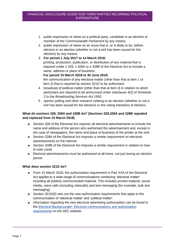- 1. public expression of views on a political party, candidate in an election or member of the Commonwealth Parliament by any means;
- 2. public expression of views on an issue that is, or is likely to be, before electors in an election (whether or not a writ has been issued for the election) by any means;
- 3. **For period 1 July 2017 to 14 March 2018:** printing, production, publication, or distribution of any material that is required under s 328, s 328A or s 328B of the Electoral Act to include a name, address or place of business;

#### **For period 15 March 2018 to 30 June 2018:**

the communication of any electoral matter (other than that at item 1 or item 2) that is required by section 321D to be authorised;

- 4. broadcast of political matter (other than that at item 3) in relation to which particulars are required to be announced under subclause 4(2) of Schedule 2 to the *Broadcasting Services Act 1992;*
- 5. opinion polling and other research relating to an election (whether or not a writ has been issued for the election) or the voting intentions of electors.

## **What do sections 328, 328A and 328B do? (Sections 328,328A and 328B repealed and replaced from 15 March 2018)**

- Section 328 of the Electoral Act requires all electoral advertisements to include the name and address of the person who authorised the advertisement and, except in the case of newspapers, the name and place of business of the printer at the end.
- Section 328A of the Electoral Act imposes a similar requirement on electoral advertisements on the internet.
- Section 328B of the Electoral Act imposes a similar requirement in relation to howto-vote cards.
- Electoral advertisements must be authorised at all times, not just during an election period.

#### **What does section 321D do?**

- From 15 March 2018, the authorisation requirement in Part XXA of the Electoral Act applies to a wide range of communications containing 'electoral matter' including all publicly communicated material. This includes printed material, social media, voice calls (including robocalls) and text messaging (for example, bulk text messaging).
- Section 321D(5) sets out the new authorisation requirements that apply to the communication of 'electoral matter' and 'political matter'.
- Information regarding the new electoral advertising authorisation can be found in the [Electoral Backgrounder: Electoral communications and authorisation](https://www.aec.gov.au/About_AEC/Publications/Backgrounders/authorisation.htm)  [requirements](https://www.aec.gov.au/About_AEC/Publications/Backgrounders/authorisation.htm) on the AEC website.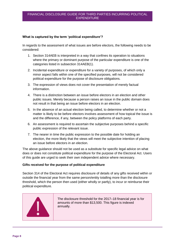#### **What is captured by the term 'political expenditure'?**

In regards to the assessment of what issues are before electors, the following needs to be considered:

- 1. Section 314AEB is interpreted in a way that confines its operation to situations where the primary or dominant purpose of the particular expenditure is one of the categories listed in subsection 314AEB(1).
- 2. Incidental expenditure or expenditure for a variety of purposes, of which only a minor aspect falls within one of the specified purposes, will not be considered political expenditure for the purpose of disclosure obligations.
- 3. The expression of views does not cover the presentation of merely factual information.
- 4. There is a distinction between an issue before electors in an election and other public issues. Merely because a person raises an issue in the public domain does not result in that being an issue before electors in an election.
- 5. In the absence of an actual election being called, to determine whether or not a matter is likely to be before electors involves assessment of how topical the issue is and the difference, if any, between the policy platforms of each party.
- 6. An assessment is required to ascertain the subjective purposes behind a specific public expression of the relevant issue.
- 7. The nearer in time the public expression to the possible date for holding an election, the more likely that the views will meet the subjective intention of placing an issue before electors in an election.

The above guidance should not be used as a substitute for specific legal advice on what does or does not constitute political expenditure for the purpose of the Electoral Act. Users of this guide are urged to seek their own independent advice where necessary.

#### **Gifts received for the purpose of political expenditure**

Section 314 of the Electoral Act requires disclosure of details of any gifts received within or outside the financial year from the same person/entity totalling more than the disclosure threshold, which the person then used (either wholly or partly), to incur or reimburse their political expenditure.



The disclosure threshold for the 2017–18 financial year is for amounts of more than \$13,500. This figure is indexed annually.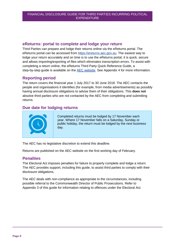## <span id="page-8-0"></span>**eReturns: portal to complete and lodge your return**

Third Parties can prepare and lodge their returns online via the eReturns portal. The eReturns portal can be accessed from [https://ereturns.aec.gov.au.](https://ereturns.aec.gov.au/) The easiest way to lodge your return accurately and on time is to use the eReturns portal; it is quick, secure and allows importing/exporting of files which eliminates transcription errors. To assist with completing a return online, the eReturns Third Party Quick Reference Guide, a step-by-step guide is available on the [AEC website.](http://www.aec.gov.au/Parties_and_Representatives/financial_disclosure/qrg/third-parties/index.htm) See Appendix 4 for more information.

# <span id="page-8-1"></span>**Reporting period**

The return covers the financial year 1 July 2017 to 30 June 2018. The AEC contacts the people and organisations it identifies (for example, from media advertisements) as possibly having annual disclosure obligations to advise them of their obligations. This **does not** absolve third parties who are not contacted by the AEC from completing and submitting returns.

# <span id="page-8-2"></span>**Due date for lodging returns**



Completed returns must be lodged by 17 November each year. Where 17 November falls on a Saturday, Sunday or public holiday, the return must be lodged by the next business day.

The AEC has no legislative discretion to extend this deadline.

Returns are published on the AEC website on the first working day of February.

## <span id="page-8-3"></span>**Penalties**

The Electoral Act imposes penalties for failure to properly complete and lodge a return. The AEC provides support, including this guide, to assist third parties to comply with their disclosure obligations.

The AEC deals with non-compliance as appropriate to the circumstances, including possible referral to the Commonwealth Director of Public Prosecutions. Refer to Appendix 3 of this guide for information relating to offences under the Electoral Act.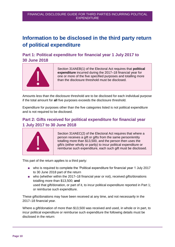# <span id="page-9-0"></span>**Information to be disclosed in the third party return of political expenditure**

# <span id="page-9-1"></span>**Part 1: Political expenditure for financial year 1 July 2017 to 30 June 2018**



Section 314AEB(1) of the Electoral Act requires that **political expenditure** incurred during the 2017–18 financial year for one or more of the five specified purposes and totalling more than the disclosure threshold must be disclosed.

Amounts less than the disclosure threshold are to be disclosed for each individual purpose if the total amount for **all** five purposes exceeds the disclosure threshold.

Expenditure for purposes other than the five categories listed is not political expenditure and is not required to be disclosed.

# <span id="page-9-2"></span>**Part 2: Gifts received for political expenditure for financial year 1 July 2017 to 30 June 2018**



Section 314AEC(2) of the Electoral Act requires that where a person receives a gift or gifts from the same person/entity totalling more than \$13,500, and the person then uses the gift/s (either wholly or partly) to incur political expenditure or reimburse such expenditure, each such gift must be disclosed.

This part of the return applies to a third party:

- who is required to complete the 'Political expenditure for financial year 1 July 2017 to 30 June 2018 part of the return
- who (whether within the 2017–18 financial year or not), received gifts/donations totalling more than \$13,500; **and** used that gift/donation, or part of it, to incur political expenditure reported in Part 1; or reimburse such expenditure.

These gifts/donations may have been received at any time, and not necessarily in the 2017–18 financial year.

Where a gift/donation of more than \$13,500 was received and used, in whole or in part, to incur political expenditure or reimburse such expenditure the following details must be disclosed in the return: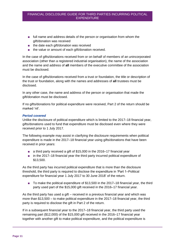- full name and address details of the person or organisation from whom the gift/donation was received
- the date each gift/donation was received
- the value or amount of each gift/donation received.

In the case of gifts/donations received from or on behalf of members of an unincorporated association (other than a registered industrial organisation), the name of the association and the name and address of **all** members of the executive committee of the association must be disclosed.

In the case of gifts/donations received from a trust or foundation, the title or description of the trust or foundation, along with the names and addresses of **all** trustees must be disclosed.

In any other case, the name and address of the person or organisation that made the gift/donation must be disclosed.

If no gifts/donations for political expenditure were received, Part 2 of the return should be marked 'nil'.

#### *Period covered*

Unlike the disclosure of political expenditure which is limited to the 2017–18 financial year, gifts/donations used to fund that expenditure must be disclosed even where they were received prior to 1 July 2017.

The following example may assist in clarifying the disclosure requirements when political expenditure is made in the 2017–18 financial year using gifts/donations that have been received in prior years:

- a third party received a gift of \$15,000 in the 2016–17 financial year
- in the 2017–18 financial year the third party incurred political expenditure of \$13,500.

As the third party has incurred political expenditure that is more than the disclosure threshold, the third party is required to disclose the expenditure in 'Part 1–Political expenditure for financial year 1 July 2017 to 30 June 2018' of the return.

■ To make the political expenditure of \$13,500 in the 2017–18 financial year, the third party used part of the \$15,000 gift received in the 2016–17 financial year.

As the third party has used a gift – received in a previous financial year and which was more than \$13,500 – to make political expenditure in the 2017–18 financial year, the third party is required to disclose the gift in Part 2 of the return.

If in a subsequent financial year to the 2017–18 financial year, the third party used the remaining part (\$12,000) of the \$15,000 gift received in the 2016–17 financial year together with another gift to make political expenditure, and the political expenditure is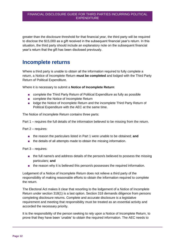greater than the disclosure threshold for that financial year, the third party will be required to disclose the \$15,000 as a gift received in the subsequent financial year's return. In this situation, the third party should include an explanatory note on the subsequent financial year's return that the gift has been disclosed previously.

# <span id="page-11-0"></span>**Incomplete returns**

Where a third party is unable to obtain all the information required to fully complete a return, a Notice of Incomplete Return **must be completed** and lodged with the Third Party Return of Political Expenditure.

Where it is necessary to submit a **Notice of Incomplete Return**:

- complete the Third Party Return of Political Expenditure as fully as possible
- complete the Notice of Incomplete Return
- lodge the Notice of Incomplete Return and the incomplete Third Party Return of Political Expenditure with the AEC at the same time.

The Notice of Incomplete Return contains three parts:

Part 1 – requires the full details of the information believed to be missing from the return.

Part 2 – requires:

- the reason the particulars listed in Part 1 were unable to be obtained; and
- the details of all attempts made to obtain the missing information.

Part 3 – requires:

- the full name/s and address details of the person/s believed to possess the missing particulars; **and**
- the reason why it is believed this person/s possesses the required information.

Lodgement of a Notice of Incomplete Return does not relieve a third party of the responsibility of making reasonable efforts to obtain the information required to complete the return.

The Electoral Act makes it clear that resorting to the lodgement of a Notice of Incomplete Return under section 318(1) is a last option. Section 318 demands diligence from persons completing disclosure returns. Complete and accurate disclosure is a legislative requirement and meeting that responsibility must be treated as an essential activity and accorded the necessary priority.

It is the responsibility of the person seeking to rely upon a Notice of Incomplete Return, to prove that they have been 'unable' to obtain the required information. The AEC needs to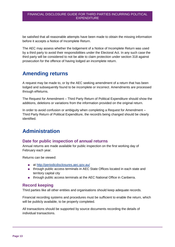be satisfied that all reasonable attempts have been made to obtain the missing information before it accepts a Notice of Incomplete Return.

The AEC may assess whether the lodgement of a Notice of Incomplete Return was used by a third party to avoid their responsibilities under the Electoral Act. In any such case the third party will be considered to not be able to claim protection under section 318 against prosecution for the offence of having lodged an incomplete return.

# <span id="page-12-0"></span>**Amending returns**

A request may be made to, or by the AEC seeking amendment of a return that has been lodged and subsequently found to be incomplete or incorrect. Amendments are processed through eReturns.

The Request for Amendment – Third Party Return of Political Expenditure should show the additions, deletions or variations from the information provided on the original return.

In order to avoid confusion or ambiguity when completing a Request for Amendment – Third Party Return of Political Expenditure, the record/s being changed should be clearly identified.

# <span id="page-12-1"></span>**Administration**

## <span id="page-12-2"></span>**Date for public inspection of annual returns**

Annual returns are made available for public inspection on the first working day of February each year.

Returns can be viewed:

- at<http://periodicdisclosures.aec.gov.au/>
- through public access terminals in AEC State Offices located in each state and territory capital city
- through public access terminals at the AEC National Office in Canberra.

## <span id="page-12-3"></span>**Record keeping**

Third parties like all other entities and organisations should keep adequate records.

Financial recording systems and procedures must be sufficient to enable the return, which will be publicly available, to be properly completed.

All transactions should be supported by source documents recording the details of individual transactions.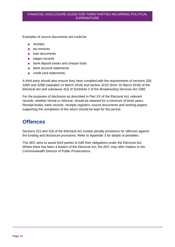Examples of source documents are could be:

- receipts
- tax invoices
- loan documents
- wages records
- bank deposit books and cheque butts
- bank account statements
- credit card statements.

A third party should also ensure they have complied with the requirements of sections 328, 328A and 328B (repealed 14 March 2018) and section 321D (from 15 March 2018) of the Electoral Act and subclause 4(2) of Schedule 2 of the *Broadcasting Services Act 1992*.

For the purposes of disclosure as described in Part XX of the Electoral Act, relevant records, whether formal or informal, should be retained for a minimum of three years. Receipt books, bank records, receipts registers, source documents and working papers supporting the completion of the return should be kept for this period.

# <span id="page-13-0"></span>**Offences**

Sections 315 and 316 of the Electoral Act contain penalty provisions for offences against the funding and disclosure provisions. Refer to Appendix 3 for details of penalties.

The AEC aims to assist third parties to fulfil their obligations under the Electoral Act. Where there has been a breach of the Electoral Act, the AEC may refer matters to the Commonwealth Director of Public Prosecutions.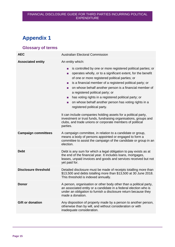# <span id="page-14-0"></span>**Appendix 1**

# <span id="page-14-1"></span>**Glossary of terms**

| <b>AEC</b>                  | <b>Australian Electoral Commission</b>                                                                                                                                                                                                                                                                                                                                                                                                                                                                                                                                                                                                                                                                                                                                       |  |  |
|-----------------------------|------------------------------------------------------------------------------------------------------------------------------------------------------------------------------------------------------------------------------------------------------------------------------------------------------------------------------------------------------------------------------------------------------------------------------------------------------------------------------------------------------------------------------------------------------------------------------------------------------------------------------------------------------------------------------------------------------------------------------------------------------------------------------|--|--|
| <b>Associated entity</b>    | An entity which:                                                                                                                                                                                                                                                                                                                                                                                                                                                                                                                                                                                                                                                                                                                                                             |  |  |
|                             | is controlled by one or more registered political parties; or<br>п<br>operates wholly, or to a significant extent, for the benefit<br>m.<br>of one or more registered political parties; or<br>is a financial member of a registered political party; or<br><b>COL</b><br>on whose behalf another person is a financial member of<br>$\mathbf{r}$<br>a registered political party; or<br>has voting rights in a registered political party; or<br><b>College</b><br>on whose behalf another person has voting rights in a<br>п<br>registered political party.<br>It can include companies holding assets for a political party,<br>investment or trust funds, fundraising organisations, groups and<br>clubs, and trade unions or corporate members of political<br>parties. |  |  |
| <b>Campaign committees</b>  | A campaign committee, in relation to a candidate or group,                                                                                                                                                                                                                                                                                                                                                                                                                                                                                                                                                                                                                                                                                                                   |  |  |
|                             | means a body of persons appointed or engaged to form a<br>committee to assist the campaign of the candidate or group in an<br>election.                                                                                                                                                                                                                                                                                                                                                                                                                                                                                                                                                                                                                                      |  |  |
| <b>Debt</b>                 | Debt is any sum for which a legal obligation to pay exists as at<br>the end of the financial year. It includes loans, mortgages,<br>leases, unpaid invoices and goods and services received but not<br>yet paid for.                                                                                                                                                                                                                                                                                                                                                                                                                                                                                                                                                         |  |  |
| <b>Disclosure threshold</b> |                                                                                                                                                                                                                                                                                                                                                                                                                                                                                                                                                                                                                                                                                                                                                                              |  |  |
|                             | Detailed disclosure must be made of receipts totalling more than<br>\$13,500 and debts totalling more than \$13,500 at 30 June 2018.<br>This threshold is indexed annually.                                                                                                                                                                                                                                                                                                                                                                                                                                                                                                                                                                                                  |  |  |
| <b>Donor</b>                | A person, organisation or other body other than a political party,<br>an associated entity or a candidate in a federal election who is<br>under an obligation to furnish a disclosure return because they<br>made a donation.                                                                                                                                                                                                                                                                                                                                                                                                                                                                                                                                                |  |  |
| <b>Gift or donation</b>     | Any disposition of property made by a person to another person,<br>otherwise than by will, and without consideration or with<br>inadequate consideration.                                                                                                                                                                                                                                                                                                                                                                                                                                                                                                                                                                                                                    |  |  |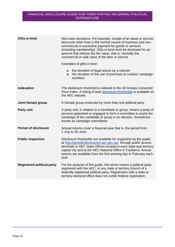| Gifts-in-kind                     | Non-cash donations. For example, receipt of an asset or service,<br>discounts other than in the normal course of business and non-<br>commercial or excessive payment for goods or services<br>(including membership). Gifts-in-kind must be disclosed for an<br>amount that reflects the fair value, that is, normally the<br>commercial or sale value of the item or service.<br>Examples of gifts-in-kind:<br>the donation of legal advice by a solicitor<br>$\mathbf{r}$<br>the donation of the use of premises to conduct campaign<br>activities. |  |
|-----------------------------------|--------------------------------------------------------------------------------------------------------------------------------------------------------------------------------------------------------------------------------------------------------------------------------------------------------------------------------------------------------------------------------------------------------------------------------------------------------------------------------------------------------------------------------------------------------|--|
| <b>Indexation</b>                 | The disclosure threshold is indexed to the All Groups Consumer<br>Price Index. A listing of past disclosure thresholds is available on<br>the AEC website.                                                                                                                                                                                                                                                                                                                                                                                             |  |
| <b>Joint Senate group</b>         | A Senate group endorsed by more than one political party.                                                                                                                                                                                                                                                                                                                                                                                                                                                                                              |  |
| <b>Party unit</b>                 | A party unit, in relation to a candidate or group, means a body of<br>persons appointed or engaged to form a committee to assist the<br>campaign of the candidate or group in an election. Sometimes<br>known as campaign committees.                                                                                                                                                                                                                                                                                                                  |  |
| <b>Period of disclosure</b>       | Annual returns cover a financial year that is, the period from<br>1 July to 30 June.                                                                                                                                                                                                                                                                                                                                                                                                                                                                   |  |
| <b>Public inspection</b>          | Disclosure thresholds are available for inspection by the public<br>at http://periodicdisclosures.aec.gov.au/, through public access<br>terminals in AEC State Offices located in each state and territory<br>capital city and at the AEC National Office in Canberra. Annual<br>returns are available from the first working day in February each<br>year.                                                                                                                                                                                            |  |
| <b>Registered political party</b> | For the purpose of this guide, this terms means a political party<br>registered with the AEC, or any state or territory branch of a<br>federally registered political party. Registration with a state or<br>territory electoral office does not confer federal registration.                                                                                                                                                                                                                                                                          |  |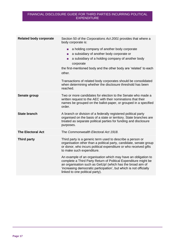| <b>Related body corporate</b> | Section 50 of the Corporations Act 2001 provides that where a<br>body corporate is:                                                                                                                                                                                                                                                                                                                  |
|-------------------------------|------------------------------------------------------------------------------------------------------------------------------------------------------------------------------------------------------------------------------------------------------------------------------------------------------------------------------------------------------------------------------------------------------|
|                               | a holding company of another body corporate<br>п<br>a subsidiary of another body corporate or<br>п<br>a subsidiary of a holding company of another body<br>п<br>corporate<br>the first-mentioned body and the other body are 'related' to each<br>other.<br>Transactions of related body corporates should be consolidated<br>when determining whether the disclosure threshold has been<br>reached. |
| Senate group                  | Two or more candidates for election to the Senate who made a<br>written request to the AEC with their nominations that their<br>names be grouped on the ballot-paper, or grouped in a specified<br>order.                                                                                                                                                                                            |
| <b>State branch</b>           | A branch or division of a federally registered political party<br>organised on the basis of a state or territory. State branches are<br>treated as separate political parties for funding and disclosure<br>purposes.                                                                                                                                                                                |
| <b>The Electoral Act</b>      | The Commonwealth Electoral Act 1918.                                                                                                                                                                                                                                                                                                                                                                 |
| Third party                   | Third party is a generic term used to describe a person or<br>organisation other than a political party, candidate, senate group<br>or donor, who incurs political expenditure or who received gifts<br>to make such expenditure.                                                                                                                                                                    |
|                               | An example of an organisation which may have an obligation to<br>complete a Third Party Return of Political Expenditure might be<br>an organisation such as GetUp! (which has the broad aim of<br>'increasing democratic participation', but which is not officially<br>linked to one political party).                                                                                              |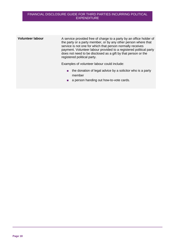| <b>Volunteer labour</b> | A service provided free of charge to a party by an office holder of<br>the party or a party member, or by any other person where that<br>service is not one for which that person normally receives<br>payment. Volunteer labour provided to a registered political party<br>does not need to be disclosed as a gift by that person or the<br>registered political party. |
|-------------------------|---------------------------------------------------------------------------------------------------------------------------------------------------------------------------------------------------------------------------------------------------------------------------------------------------------------------------------------------------------------------------|
|                         | Examples of volunteer labour could include:<br>the donation of legal advice by a solicitor who is a party<br>$\mathbb{Z}$<br>member<br>a person handing out how-to-vote cards.                                                                                                                                                                                            |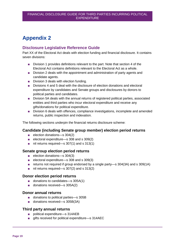# <span id="page-18-0"></span>**Appendix 2**

## <span id="page-18-1"></span>**Disclosure Legislative Reference Guide**

Part XX of the Electoral Act deals with election funding and financial disclosure. It contains seven divisions:

- Division 1 provides definitions relevant to the part. Note that section 4 of the Electoral Act contains definitions relevant to the Electoral Act as a whole.
- Division 2 deals with the appointment and administration of party agents and candidate agents.
- Division 3 deals with election funding.
- Divisions 4 and 5 deal with the disclosure of election donations and electoral expenditure by candidates and Senate groups and disclosures by donors to political parties and candidates.
- Division 5A deals with the annual returns of registered political parties, associated entities and third parties who incur electoral expenditure and receive any gifts/donations for political expenditure.
- Division 6 deals with offences, compliance investigations, incomplete and amended returns, public inspection and indexation.

The following sections underpin the financial returns disclosure scheme:

#### **Candidate (including Senate group member) election period returns**

- election donations—s 304(2)
- electoral expenditure—s 308 and s 309(2)
- nil returns required—s 307(1) and s 313(1)

## **Senate group election period returns**

- election donations—s 304(3)
- electoral expenditure—s 308 and s 309(3)
- returns not required if group endorsed by a single party—s 304(3A) and s 309(1A)
- nil returns required—s 307(2) and s 313(2)

#### **Donor election period returns**

- donations to candidates—s 305A(1)
- donations received—s 305A(2)

#### **Donor annual returns**

- donations to political parties—s 305B
- donations received—s 305B(3A)

#### **Third party annual returns**

- political expenditure—s 314AEB
- gifts received for political expenditure—s 314AEC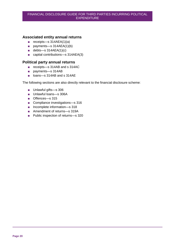## **Associated entity annual returns**

- receipts—s 314AEA(1)(a)
- payments—s 314AEA(1)(b)
- $\blacksquare$  debts—s 314AEA(1)(c)
- capital contributions—s 314AEA(3)

## **Political party annual returns**

- receipts—s 314AB and s 314AC
- payments—s 314AB
- loans—s 314AB and s 314AE

The following sections are also directly relevant to the financial disclosure scheme:

- Unlawful gifts—s 306
- Unlawful loans—s 306A
- Offences—s 315
- Compliance investigations—s 316
- Incomplete information—s 318
- Amendment of returns—s 319A
- Public inspection of returns—s 320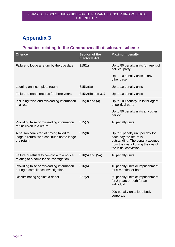# <span id="page-20-0"></span>**Appendix 3**

# <span id="page-20-1"></span>**Penalties relating to the Commonwealth disclosure scheme**

| <b>Offence</b>                                                                                     | Section of the<br><b>Electoral Act</b> | <b>Maximum penalty</b>                                                                                                                                         |
|----------------------------------------------------------------------------------------------------|----------------------------------------|----------------------------------------------------------------------------------------------------------------------------------------------------------------|
| Failure to lodge a return by the due date                                                          | 315(1)                                 | Up to 50 penalty units for agent of<br>political party                                                                                                         |
|                                                                                                    |                                        | Up to 10 penalty units in any<br>other case                                                                                                                    |
| Lodging an incomplete return                                                                       | 315(2)(a)                              | Up to 10 penalty units                                                                                                                                         |
| Failure to retain records for three years                                                          | $315(2)(b)$ and 317                    | Up to 10 penalty units                                                                                                                                         |
| Including false and misleading information<br>in a return                                          | $315(3)$ and $(4)$                     | Up to 100 penalty units for agent<br>of political party                                                                                                        |
|                                                                                                    |                                        | Up to 50 penalty units any other<br>person                                                                                                                     |
| Providing false or misleading information<br>for inclusion in a return                             | 315(7)                                 | 10 penalty units                                                                                                                                               |
| A person convicted of having failed to<br>lodge a return, who continues not to lodge<br>the return | 315(8)                                 | Up to 1 penalty unit per day for<br>each day the return is<br>outstanding. The penalty accrues<br>from the day following the day of<br>the initial conviction. |
| Failure or refusal to comply with a notice<br>relating to a compliance investigation               | $316(5)$ and $(5A)$                    | 10 penalty units                                                                                                                                               |
| Providing false or misleading information<br>during a compliance investigation                     | 316(6)                                 | 10 penalty units or imprisonment<br>for 6 months, or both                                                                                                      |
| Discriminating against a donor                                                                     | 327(2)                                 | 50 penalty units or imprisonment<br>for 2 years or both for an<br>individual                                                                                   |
|                                                                                                    |                                        | 200 penalty units for a body<br>corporate                                                                                                                      |